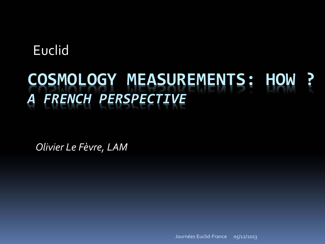### **Euclid**

### **COSMOLOGY MEASUREMENTS: HOW ?***A FRENCH PERSPECTIVE*

*Olivier Le Fèvre, LAM*

Journées Euclid‐France 05/12/2013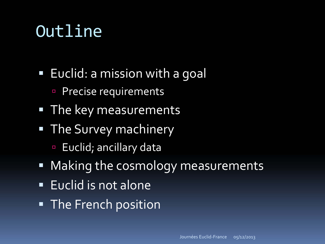## Outline

- Euclid: a mission with a goal
	- Precise requirements  $\Box$
- The key measurements
- **The Survey machinery** 
	- **Euclid**; ancillary data
- Making the cosmology measurements
- · Euclid is not alone
- The French position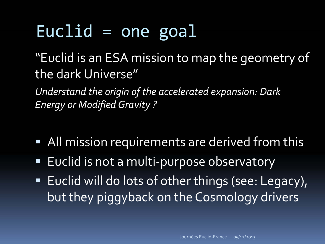## Euclid <sup>=</sup> one goal

"Euclid is an ESA mission to map the geometry of the dark Universe"

*Understand the origin of the accelerated expansion: Dark Energy or ModifiedGravity ?*

- All mission requirements are derived from this
- ■ Euclid is not a multi-purpose observatory
- Euclid will do lots of other things (see: Legacy), but they piggyback on the Cosmology drivers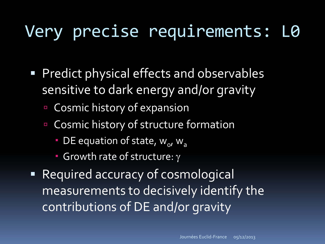# Very precise requirements: L0

- Predict physical effects and observables sensitive to dark energy and/or gravity
	- **E** Cosmic history of expansion
	- $\Box$ **E** Cosmic history of structure formation
		- $\blacksquare$  DE equation of state,  $w_o$ ,  $w_a$
		- Growth rate of structure:  $\gamma$
- Required accuracy of cosmological measurements to decisively identify the contributions of DE and/or gravity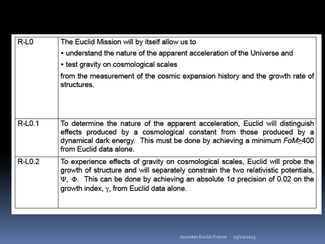| $R-L0$   | The Euclid Mission will by itself allow us to<br>• understand the nature of the apparent acceleration of the Universe and<br>• test gravity on cosmological scales<br>from the measurement of the cosmic expansion history and the growth rate of<br>structures.                                                            |
|----------|-----------------------------------------------------------------------------------------------------------------------------------------------------------------------------------------------------------------------------------------------------------------------------------------------------------------------------|
| R-L0.1   | To determine the nature of the apparent acceleration, Euclid will distinguish<br>effects produced by a cosmological constant from those produced by a<br>dynamical dark energy. This must be done by achieving a minimum FoM>400<br>from Euclid data alone.                                                                 |
| $R-L0.2$ | To experience effects of gravity on cosmological scales, Euclid will probe the<br>growth of structure and will separately constrain the two relativistic potentials,<br>$\Psi$ , $\Phi$ . This can be done by achieving an absolute 1 $\sigma$ precision of 0.02 on the<br>growth index, $\gamma$ , from Euclid data alone. |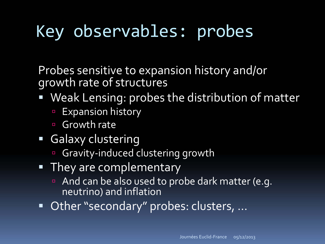# Key observables: probes

Probes sensitive to expansion history and/or growth rate of structures

- Weak Lensing: probes the distribution of matter
	- $\blacksquare$ Expansion history
	- $\Box$ ■ Growth rate
- Galaxy clustering
	- Gravity-induced clustering growth
- They are complementary
	- And can be also used to probe dark matter (e.g. neutrino) and inflation
- Other "secondary" probes: clusters, ...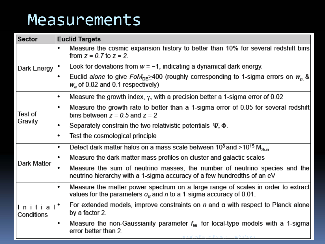## Measurements

| <b>Sector</b>        | <b>Euclid Targets</b>                                                                                                                                              |
|----------------------|--------------------------------------------------------------------------------------------------------------------------------------------------------------------|
| Dark Energy          | Measure the cosmic expansion history to better than 10% for several redshift bins<br>٠<br>from $z = 0.7$ to $z = 2$ .                                              |
|                      | Look for deviations from $w = -1$ , indicating a dynamical dark energy.                                                                                            |
|                      | Euclid alone to give $F \circ M_{\text{DE}} > 400$ (roughly corresponding to 1-sigma errors on $W_{\text{o}}$ &<br>٠<br>$W_a$ of 0.02 and 0.1 respectively)        |
| Test of<br>Gravity   | Measure the growth index, $\gamma$ , with a precision better a 1-sigma error of 0.02<br>٠                                                                          |
|                      | Measure the growth rate to better than a 1-sigma error of 0.05 for several redshift<br>٠<br>bins between $z = 0.5$ and $z = 2$                                     |
|                      | Separately constrain the two relativistic potentials $\Psi$ , $\Phi$ .<br>٠                                                                                        |
|                      | Test the cosmological principle<br>٠                                                                                                                               |
|                      | Detect dark matter halos on a mass scale between $10^8$ and $>10^{15}$ M <sub>Sun</sub><br>٠                                                                       |
|                      | Measure the dark matter mass profiles on cluster and galactic scales<br>٠                                                                                          |
| Dark Matter          | Measure the sum of neutrino masses, the number of neutrino species and the<br>neutrino hierarchy with a 1-sigma accuracy of a few hundredths of an eV              |
| Initia<br>Conditions | Measure the matter power spectrum on a large range of scales in order to extract<br>٠<br>values for the parameters $\sigma_8$ and n to a 1-sigma accuracy of 0.01. |
|                      | For extended models, improve constraints on $n$ and $\alpha$ with respect to Planck alone<br>by a factor 2.                                                        |
|                      | Measure the non-Gaussianity parameter $f_{NL}$ for local-type models with a 1-sigma<br>٠<br>error better than 2.<br><u> Journées Euclid-France 05/12/2013</u>      |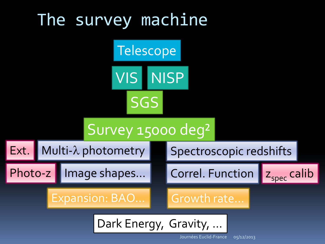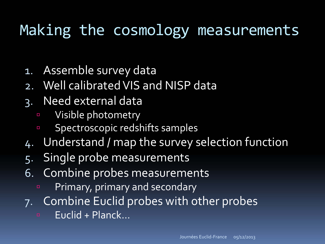## Making the cosmology measurements

- 1. Assemble survey data
- 2. Well calibrated VIS and NISP data
- 3. Need external data
	- $\blacksquare$ □ Visible photometry
	- $\blacksquare$ Spectroscopic redshifts samples
- 4. Understand / map the survey selection function
- 5. Single probe measurements
- 6. Combine probes measurements
	- Primary, primary and secondary
- 7. Combine Euclid probes with other probes
	- **Euclid + Planck…**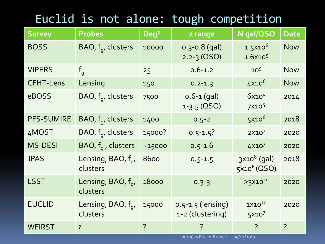### Euclid is not alone: tough competition

| <b>Survey</b>     | <b>Probes</b>                              | Deg <sup>2</sup> | z range                                   | N gal/QSO                                | <b>Date</b>    |
|-------------------|--------------------------------------------|------------------|-------------------------------------------|------------------------------------------|----------------|
| <b>BOSS</b>       | BAO, $f_{q}$ , clusters                    | 10000            | $0.3 - 0.8$ (gal)<br>$2.2 - 3 (OSO)$      | $1.5x10^6$<br>1.6x10 <sup>5</sup>        | <b>Now</b>     |
| <b>VIPERS</b>     | $f_q$                                      | 25               | $0.6 - 1.2$                               | 10 <sup>5</sup>                          | <b>Now</b>     |
| <b>CFHT-Lens</b>  | Lensing                                    | 150              | $0.2 - 1.3$                               | $4X10^6$                                 | <b>Now</b>     |
| eBOSS             | BAO, $f_{q}$ , clusters                    | 7500             | $0.6 - 1$ (gal)<br>$1 - 3.5$ (QSO)        | 6x10 <sup>5</sup><br>7X10 <sup>5</sup>   | 2014           |
| <b>PFS-SUMIRE</b> | BAO, $f_q$ , clusters                      | 1400             | $0.5 - 2$                                 | $5x10^6$                                 | 2018           |
| 4MOST             | BAO, $f_{q}$ , clusters                    | 15000?           | $0.5 - 1.5$ ?                             | 2X10 <sup>7</sup>                        | 2020           |
| <b>MS-DESI</b>    | BAO, $f_a$ , clusters                      | ~15000           | $0.5 - 1.6$                               | 4X107                                    | 2020           |
| <b>JPAS</b>       | Lensing, BAO, f <sub>a</sub> ,<br>clusters | 8600             | $0.5 - 1.5$                               | $3x108$ (gal)<br>5x10 <sup>6</sup> (QSO) | 2018           |
| <b>LSST</b>       | Lensing, BAO, f <sub>a</sub> ,<br>clusters | 18000            | $0.3 - 3$                                 | $>3\times10^{10}$                        | 2020           |
| <b>EUCLID</b>     | Lensing, BAO, $f_q$ ,<br>clusters          | 15000            | $0.5 - 1.5$ (lensing)<br>1-2 (clustering) | $1X10^{10}$<br>5x10 <sup>7</sup>         | 2020           |
| <b>WFIRST</b>     | $\overline{?}$                             | $\overline{?}$   |                                           | $\overline{?}$                           | $\overline{?}$ |

Journées Euclid‐France05/12/2013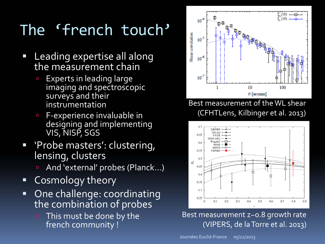## The 'french touch'

- $\mathcal{L}_{\mathcal{A}}$  Leading expertise all along the measurement chain
	- Experts in leading large imaging and spectroscopic surveys and their instrumentation
	- $\blacksquare$  <sup>F</sup>‐experience invaluable in designing and implementing VIS, NISP, SGS
- 'Probe masters': clustering, lensing, clusters
	- □ And 'external' probes (Planck…)
- Cosmology theory
- $\blacksquare$  One challenge: coordinating the combination of probes
	- □ This must be done by the french community !



Best measurement of the WL shear (CFHTLens, Kilbinger et al. 2013)



#### Best measurement z~0.8 growth rate (VIPERS, de laTorre et al. 2013)

Journées Euclid‐France05/12/2013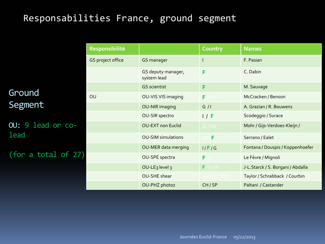#### Responsabilities France, ground segment

Ground Segment

OU: 9 lead or co**lead** 

(for a total of 27)

| Responsibilité    |                                   | Country    | <b>Names</b>                      |
|-------------------|-----------------------------------|------------|-----------------------------------|
| GS project office | GS manager                        |            | F. Pasian                         |
|                   | GS deputy manager,<br>system lead | F          | C. Dabin                          |
|                   | <b>GS scientist</b>               | F          | M. Sauvage                        |
| OU                | OU-VIS VIS imaging                | F.<br>' UK | McCracken / Benson                |
|                   | OU-NIR imaging                    | G/I        | A. Grazian / R. Bouwens           |
|                   | <b>OU-SIR spectro</b>             | 1 / F      | Scodeggio / Surace                |
|                   | <b>OU-EXT non Euclid</b>          | G/NL       | Mohr / Gijs-Verdoes-Kleijn /      |
|                   | <b>OU-SIM simulations</b>         | F          | Serrano / Ealet                   |
|                   | OU-MER data merging               | I/F/G      | Fontana / Douspis / Koppenhoefer  |
|                   | OU-SPE spectra                    | F          | Le Fèvre / Mignoli                |
|                   | OU-LE <sub>3</sub> level 3        | F/I/UK     | J-L.Starck / S. Borgani / Abdalla |
|                   | OU-SHE shear                      | UK/UK/CH   | Taylor / Schrabback / Courbin     |
|                   | OU-PHZ photoz                     | CH/SP      | Paltani / Castander               |